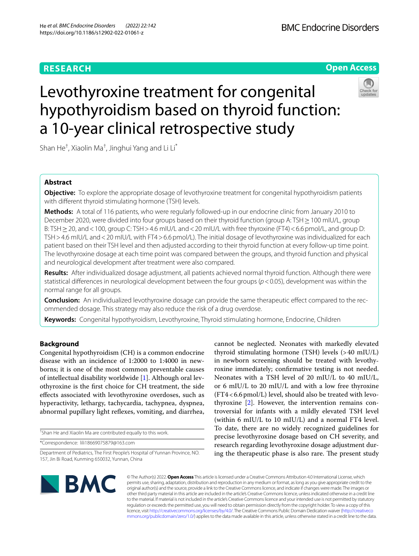# **RESEARCH**

# **Open Access**



# Levothyroxine treatment for congenital hypothyroidism based on thyroid function: a 10-year clinical retrospective study

Shan He $^\dagger$ , Xiaolin Ma $^\dagger$ , Jinghui Yang and Li Li $^*$ 

## **Abstract**

**Objective:** To explore the appropriate dosage of levothyroxine treatment for congenital hypothyroidism patients with diferent thyroid stimulating hormone (TSH) levels.

**Methods:** A total of 116 patients, who were regularly followed-up in our endocrine clinic from January 2010 to December 2020, were divided into four groups based on their thyroid function (group A: TSH≥100 mIU/L, group B: TSH ≥ 20, and < 100, group C: TSH > 4.6 mIU/L and < 20 mIU/L with free thyroxine (FT4) < 6.6 pmol/L, and group D: TSH > 4.6 mIU/L and < 20 mIU/L with FT4 > 6.6 pmol/L). The initial dosage of levothyroxine was individualized for each patient based on their TSH level and then adjusted according to their thyroid function at every follow-up time point. The levothyroxine dosage at each time point was compared between the groups, and thyroid function and physical and neurological development after treatment were also compared.

**Results:** After individualized dosage adjustment, all patients achieved normal thyroid function. Although there were statistical diferences in neurological development between the four groups (*p*<0.05), development was within the normal range for all groups.

**Conclusion:** An individualized levothyroxine dosage can provide the same therapeutic efect compared to the recommended dosage. This strategy may also reduce the risk of a drug overdose.

**Keywords:** Congenital hypothyroidism, Levothyroxine, Thyroid stimulating hormone, Endocrine, Children

## **Background**

Congenital hypothyroidism (CH) is a common endocrine disease with an incidence of 1:2000 to 1:4000 in newborns; it is one of the most common preventable causes of intellectual disability worldwide [[1\]](#page-6-0). Although oral levothyroxine is the frst choice for CH treatment, the side efects associated with levothyroxine overdoses, such as hyperactivity, lethargy, tachycardia, tachypnea, dyspnea, abnormal pupillary light refexes, vomiting, and diarrhea,

† Shan He and Xiaolin Ma are contributed equally to this work.

\*Correspondence: lili18669075879@163.com

cannot be neglected. Neonates with markedly elevated thyroid stimulating hormone (TSH) levels (>40 mIU/L) in newborn screening should be treated with levothyroxine immediately; confrmative testing is not needed. Neonates with a TSH level of 20 mIU/L to 40 mIU/L, or 6 mIU/L to 20 mIU/L and with a low free thyroxine (FT4<6.6pmol/L) level, should also be treated with levothyroxine [[2\]](#page-6-1). However, the intervention remains controversial for infants with a mildly elevated TSH level (within 6 mIU/L to 10 mIU/L) and a normal FT4 level. To date, there are no widely recognized guidelines for precise levothyroxine dosage based on CH severity, and research regarding levothyroxine dosage adjustment during the therapeutic phase is also rare. The present study



© The Author(s) 2022. **Open Access** This article is licensed under a Creative Commons Attribution 4.0 International License, which permits use, sharing, adaptation, distribution and reproduction in any medium or format, as long as you give appropriate credit to the original author(s) and the source, provide a link to the Creative Commons licence, and indicate if changes were made. The images or other third party material in this article are included in the article's Creative Commons licence, unless indicated otherwise in a credit line to the material. If material is not included in the article's Creative Commons licence and your intended use is not permitted by statutory regulation or exceeds the permitted use, you will need to obtain permission directly from the copyright holder. To view a copy of this licence, visit [http://creativecommons.org/licenses/by/4.0/.](http://creativecommons.org/licenses/by/4.0/) The Creative Commons Public Domain Dedication waiver ([http://creativeco](http://creativecommons.org/publicdomain/zero/1.0/) [mmons.org/publicdomain/zero/1.0/](http://creativecommons.org/publicdomain/zero/1.0/)) applies to the data made available in this article, unless otherwise stated in a credit line to the data.

Department of Pediatrics, The First People's Hospital of Yunnan Province, NO. 157, Jin Bi Road, Kunming 650032, Yunnan, China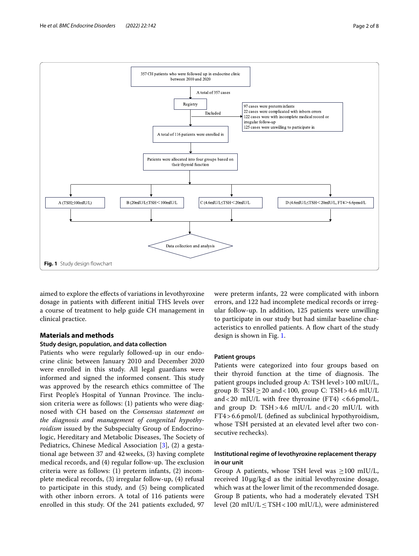

<span id="page-1-0"></span>aimed to explore the efects of variations in levothyroxine dosage in patients with diferent initial THS levels over a course of treatment to help guide CH management in clinical practice.

#### **Materials and methods**

#### **Study design, population, and data collection**

Patients who were regularly followed-up in our endocrine clinic between January 2010 and December 2020 were enrolled in this study. All legal guardians were informed and signed the informed consent. This study was approved by the research ethics committee of The First People's Hospital of Yunnan Province. The inclusion criteria were as follows: (1) patients who were diagnosed with CH based on the *Consensus statement on the diagnosis and management of congenital hypothyroidism* issued by the Subspecialty Group of Endocrinologic, Hereditary and Metabolic Diseases, The Society of Pediatrics, Chinese Medical Association [\[3](#page-6-2)], (2) a gestational age between 37 and 42weeks, (3) having complete medical records, and (4) regular follow-up. The exclusion criteria were as follows: (1) preterm infants, (2) incomplete medical records, (3) irregular follow-up, (4) refusal to participate in this study, and (5) being complicated with other inborn errors. A total of 116 patients were enrolled in this study. Of the 241 patients excluded, 97 were preterm infants, 22 were complicated with inborn errors, and 122 had incomplete medical records or irregular follow-up. In addition, 125 patients were unwilling to participate in our study but had similar baseline characteristics to enrolled patients. A flow chart of the study design is shown in Fig. [1.](#page-1-0)

#### **Patient groups**

Patients were categorized into four groups based on their thyroid function at the time of diagnosis. The patient groups included group A: TSH level>100 mIU/L, group B: TSH $\geq$ 20 and < 100, group C: TSH $>$ 4.6 mIU/L and <20 mIU/L with free thyroxine (FT4) <6.6pmol/L, and group D: TSH>4.6 mIU/L and<20 mIU/L with FT4>6.6pmol/L (defned as subclinical hypothyroidism, whose TSH persisted at an elevated level after two consecutive rechecks).

#### **Institutional regime of levothyroxine replacement therapy in our unit**

Group A patients, whose TSH level was  $\geq$ 100 mIU/L, received 10μg/kg·d as the initial levothyroxine dosage, which was at the lower limit of the recommended dosage. Group B patients, who had a moderately elevated TSH level  $(20 \text{ mIU/L} \leq \text{TSH} < 100 \text{ mIU/L})$ , were administered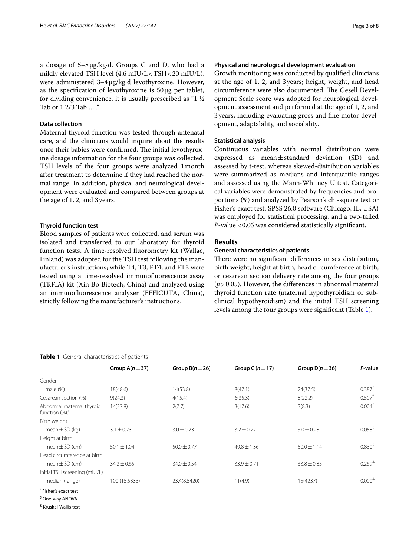a dosage of 5–8μg/kg·d. Groups C and D, who had a mildly elevated TSH level  $(4.6 \text{ mIU/L} < TSH < 20 \text{ mIU/L})$ , were administered 3–4μg/kg·d levothyroxine. However, as the specification of levothyroxine is  $50 \mu$ g per tablet, for dividing convenience, it is usually prescribed as "1 ½ Tab or 1 2/3 Tab ... ."

#### **Data collection**

Maternal thyroid function was tested through antenatal care, and the clinicians would inquire about the results once their babies were confirmed. The initial levothyroxine dosage information for the four groups was collected. TSH levels of the four groups were analyzed 1month after treatment to determine if they had reached the normal range. In addition, physical and neurological development were evaluated and compared between groups at the age of 1, 2, and 3years.

#### **Thyroid function test**

Blood samples of patients were collected, and serum was isolated and transferred to our laboratory for thyroid function tests. A time-resolved fuorometry kit (Wallac, Finland) was adopted for the TSH test following the manufacturer's instructions; while T4, T3, FT4, and FT3 were tested using a time-resolved immunofuorescence assay (TRFIA) kit (Xin Bo Biotech, China) and analyzed using an immunofuorescence analyzer (EFFICUTA, China), strictly following the manufacturer's instructions.

#### <span id="page-2-0"></span>**Table 1** General characteristics of patients

#### **Physical and neurological development evaluation**

Growth monitoring was conducted by qualifed clinicians at the age of 1, 2, and 3years; height, weight, and head circumference were also documented. The Gesell Development Scale score was adopted for neurological development assessment and performed at the age of 1, 2, and 3years, including evaluating gross and fne motor development, adaptability, and sociability.

#### **Statistical analysis**

Continuous variables with normal distribution were expressed as mean±standard deviation (SD) and assessed by t-test, whereas skewed-distribution variables were summarized as medians and interquartile ranges and assessed using the Mann-Whitney U test. Categorical variables were demonstrated by frequencies and proportions (%) and analyzed by Pearson's chi-square test or Fisher's exact test. SPSS 26.0 software (Chicago, IL, USA) was employed for statistical processing, and a two-tailed *P*-value <0.05 was considered statistically signifcant.

#### **Results**

#### **General characteristics of patients**

There were no significant differences in sex distribution, birth weight, height at birth, head circumference at birth, or cesarean section delivery rate among the four groups (*p*>0.05). However, the diferences in abnormal maternal thyroid function rate (maternal hypothyroidism or subclinical hypothyroidism) and the initial TSH screening levels among the four groups were signifcant (Table [1](#page-2-0)).

|                                             | Group $A(n=37)$ | Group $B(n=26)$ | Group C $(n=17)$ | Group $D(n=36)$ | P-value                  |
|---------------------------------------------|-----------------|-----------------|------------------|-----------------|--------------------------|
| Gender                                      |                 |                 |                  |                 |                          |
| male $(\%)$                                 | 18(48.6)        | 14(53.8)        | 8(47.1)          | 24(37.5)        | $0.387$ <sup>*</sup>     |
| Cesarean section (%)                        | 9(24.3)         | 4(15.4)         | 6(35.3)          | 8(22.2)         | 0.507                    |
| Abnormal maternal thyroid<br>function (%)." | 14(37.8)        | 2(7.7)          | 3(17.6)          | 3(8.3)          | $0.004^*$                |
| Birth weight                                |                 |                 |                  |                 |                          |
| mean $\pm$ SD (kg)                          | $3.1 \pm 0.23$  | $3.0 \pm 0.23$  | $3.2 + 0.27$     | $3.0 + 0.28$    | $0.058^{\frac{5}{2}}$    |
| Height at birth                             |                 |                 |                  |                 |                          |
| $mean \pm SD$ (cm)                          | $50.1 \pm 1.04$ | $50.0 \pm 0.77$ | $49.8 \pm 1.36$  | $50.0 \pm 1.14$ | $0.830^{5}$              |
| Head circumference at birth                 |                 |                 |                  |                 |                          |
| mean $\pm$ SD (cm)                          | $34.2 + 0.65$   | $34.0 + 0.54$   | $33.9 + 0.71$    | $33.8 + 0.85$   | $0.269$ <sup>&amp;</sup> |
| Initial TSH screening (mIU/L)               |                 |                 |                  |                 |                          |
| median (range)                              | 100 (15.5333)   | 23.4(8.5420)    | 11(4,9)          | 15(4237)        | $0.000^{8}$              |
| Fisher's exact test                         |                 |                 |                  |                 |                          |

<sup>\$</sup> One-way ANOVA

& Kruskal-Wallis test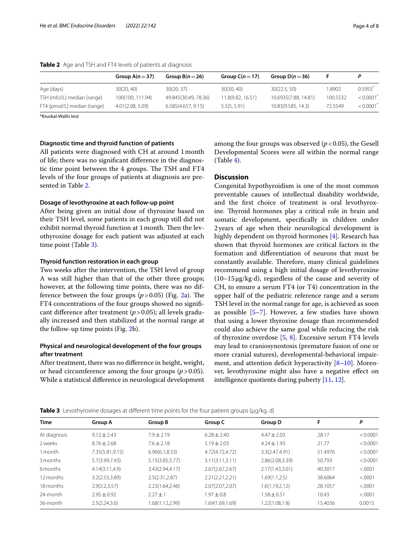| Group $A(n=37)$  | Group $B(n=26)$      | Group $C(n=17)$   | Group $D(n=36)$      |          |                       |
|------------------|----------------------|-------------------|----------------------|----------|-----------------------|
| 30(20, 40)       | 30(20.37)            | 30(30, 40)        | 30(22.5, 50)         | 1.8902   | $0.5955$ <sup>*</sup> |
| 100(100, 111.94) | 49.845(30.49, 78.36) | 11.8(9.82, 16.51) | 10.6935(7.88, 14.81) | 100.5532 | < 0.0001              |
| 4.01(2.08, 5.09) | 6.585(4.657, 9.15)   | 5.5(5, 5.91)      | 10.83(9.585, 14.3)   | 72.5549  | < 0.0001              |
|                  |                      |                   |                      |          |                       |

<span id="page-3-0"></span>**Table 2** Age and TSH and FT4 levels of patients at diagnosis

\*Kruskal-Wallis test

#### **Diagnostic time and thyroid function of patients**

All patients were diagnosed with CH at around 1month of life; there was no signifcant diference in the diagnostic time point between the 4 groups. The TSH and FT4 levels of the four groups of patients at diagnosis are presented in Table [2.](#page-3-0)

#### **Dosage of levothyroxine at each follow-up point**

After being given an initial dose of thyroxine based on their TSH level, some patients in each group still did not exhibit normal thyroid function at 1 month. Then the levothyroxine dosage for each patient was adjusted at each time point (Table [3](#page-3-1)).

#### **Thyroid function restoration in each group**

Two weeks after the intervention, the TSH level of group A was still higher than that of the other three groups; however, at the following time points, there was no difference between the four groups  $(p > 0.05)$  (Fig. [2a](#page-4-0)). The FT4 concentrations of the four groups showed no signifcant diference after treatment (*p*>0.05); all levels gradually increased and then stabilized at the normal range at the follow-up time points (Fig. [2](#page-4-0)b).

#### **Physical and neurological development of the four groups after treatment**

After treatment, there was no diference in height, weight, or head circumference among the four groups (*p*>0.05). While a statistical diference in neurological development among the four groups was observed  $(p<0.05)$ , the Gesell Developmental Scores were all within the normal range (Table [4\)](#page-5-0).

#### **Discussion**

Congenital hypothyroidism is one of the most common preventable causes of intellectual disability worldwide, and the frst choice of treatment is oral levothyroxine. Thyroid hormones play a critical role in brain and somatic development, specifcally in children under 2years of age when their neurological development is highly dependent on thyroid hormones [\[4](#page-6-3)]. Research has shown that thyroid hormones are critical factors in the formation and diferentiation of neurons that must be constantly available. Therefore, many clinical guidelines recommend using a high initial dosage of levothyroxine (10–15μg/kg·d), regardless of the cause and severity of CH, to ensure a serum FT4 (or T4) concentration in the upper half of the pediatric reference range and a serum TSH level in the normal range for age, is achieved as soon as possible  $[5-7]$  $[5-7]$ . However, a few studies have shown that using a lower thyroxine dosage than recommended could also achieve the same goal while reducing the risk of thyroxine overdose [\[5](#page-6-4), [8\]](#page-6-6). Excessive serum FT4 levels may lead to craniosynostosis (premature fusion of one or more cranial sutures), developmental-behavioral impairment, and attention deficit hyperactivity  $[8-10]$  $[8-10]$  $[8-10]$ . Moreover, levothyroxine might also have a negative efect on intelligence quotients during puberty [[11](#page-6-8), [12\]](#page-6-9).

<span id="page-3-1"></span>

| <b>Time</b>  | Group A         | Group B          | Group C          | Group D         | F       | Ρ        |  |
|--------------|-----------------|------------------|------------------|-----------------|---------|----------|--|
| At diagnosis | $9.12 + 2.43$   | $7.9 + 2.19$     | $6.28 + 2.40$    | $4.47 + 2.03$   | 28.17   | < 0.0001 |  |
| 2 weeks      | $8.76 \pm 2.68$ | $7.6 \pm 2.18$   | $5.19 + 2.03$    | $4.24 \pm 1.93$ | 21.77   | < 0.0001 |  |
| 1 month      | 7.35(5.81,9.15) | 6.96(6.1, 8.33)  | 4.72(4.72,4.72)  | 3.3(2.47,4.91)  | 51.4976 | < 0.0001 |  |
| 3 months     | 5.7(3.99,7.43)  | 5.15(3.85, 5.77) | 3.11(3.11, 3.11) | 2.86(2.08.3.39) | 50.793  | < 0.0001 |  |
| 6 months     | 4.14(3.11, 4.9) | 3.43(2.94,4.17)  | 2.67(2.67, 2.67) | 2.17(1.43,3.01) | 40.3017 | < .0001  |  |
| 12 months    | 3.2(2.53, 3.89) | 2.5(2.31, 2.87)  | 2.21(2.21, 2.21) | 1.69(1.1, 2.5)  | 38.6064 | < .0001  |  |
| 18 months    | 2.9(2.2.3.57)   | 2.23(1.64, 2.46) | 2.07(2.07,2.07)  | 1.6(1.19,2.12)  | 28.1057 | < .0001  |  |
| 24-month     | $2.95 + 0.92$   | $2.27 + 1$       | $1.97 + 0.8$     | $1.58 + 0.51$   | 10.43   | < .0001  |  |
| 36-month     | 2.5(2.24, 3.6)  | 1.68(1.12,2.99)  | 1.69(1.69,1.69)  | 1.22(1.08,1.8)  | 15.4036 | 0.0015   |  |
|              |                 |                  |                  |                 |         |          |  |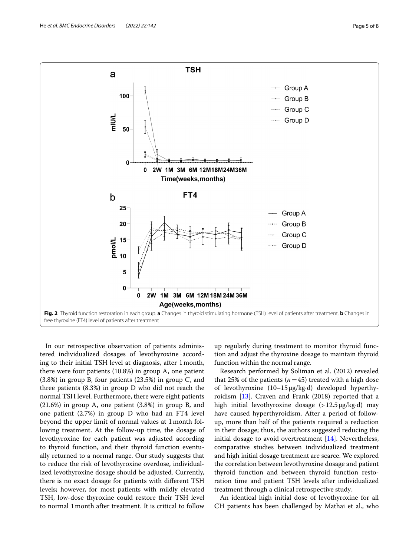

<span id="page-4-0"></span>In our retrospective observation of patients administered individualized dosages of levothyroxine according to their initial TSH level at diagnosis, after 1month, there were four patients (10.8%) in group A, one patient (3.8%) in group B, four patients (23.5%) in group C, and three patients (8.3%) in group D who did not reach the normal TSH level. Furthermore, there were eight patients (21.6%) in group A, one patient (3.8%) in group B, and one patient (2.7%) in group D who had an FT4 level beyond the upper limit of normal values at 1month following treatment. At the follow-up time, the dosage of levothyroxine for each patient was adjusted according to thyroid function, and their thyroid function eventually returned to a normal range. Our study suggests that to reduce the risk of levothyroxine overdose, individualized levothyroxine dosage should be adjusted. Currently, there is no exact dosage for patients with diferent TSH levels; however, for most patients with mildly elevated TSH, low-dose thyroxine could restore their TSH level to normal 1month after treatment. It is critical to follow

up regularly during treatment to monitor thyroid function and adjust the thyroxine dosage to maintain thyroid function within the normal range.

Research performed by Soliman et al. (2012) revealed that 25% of the patients  $(n=45)$  treated with a high dose of levothyroxine (10–15μg/kg·d) developed hyperthyroidism [[13](#page-6-10)]. Craven and Frank (2018) reported that a high initial levothyroxine dosage  $(>12.5 \mu g/kg \cdot d)$  may have caused hyperthyroidism. After a period of followup, more than half of the patients required a reduction in their dosage; thus, the authors suggested reducing the initial dosage to avoid overtreatment  $[14]$  $[14]$ . Nevertheless, comparative studies between individualized treatment and high initial dosage treatment are scarce. We explored the correlation between levothyroxine dosage and patient thyroid function and between thyroid function restoration time and patient TSH levels after individualized treatment through a clinical retrospective study.

An identical high initial dose of levothyroxine for all CH patients has been challenged by Mathai et al., who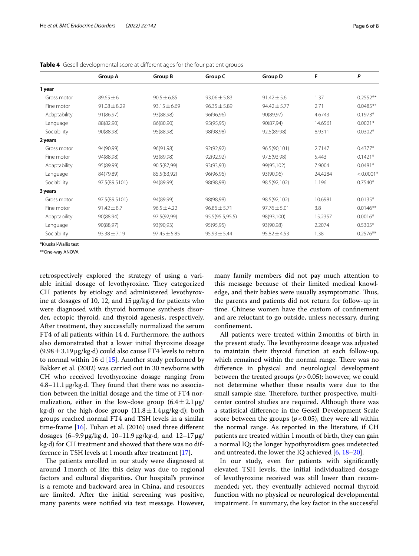|              | <b>Group A</b>   | <b>Group B</b>   | Group C          | Group D          | F       | P           |
|--------------|------------------|------------------|------------------|------------------|---------|-------------|
| 1 year       |                  |                  |                  |                  |         |             |
| Gross motor  | $89.65 + 6$      | $90.5 + 6.85$    | $93.06 + 5.83$   | $91.42 \pm 5.6$  | 1.37    | $0.2552**$  |
| Fine motor   | $91.08 \pm 8.29$ | $93.15 \pm 6.69$ | $96.35 \pm 5.89$ | $94.42 \pm 5.77$ | 2.71    | $0.0485**$  |
| Adaptability | 91(86,97)        | 93(88,98)        | 96(96,96)        | 90(89,97)        | 4.6743  | $0.1973*$   |
| Language     | 88(82,90)        | 86(80,90)        | 95(95,95)        | 90(87,94)        | 14.6561 | $0.0021*$   |
| Sociability  | 90(88,98)        | 95(88,98)        | 98(98,98)        | 92.5(89,98)      | 8.9311  | $0.0302*$   |
| 2 years      |                  |                  |                  |                  |         |             |
| Gross motor  | 94(90,99)        | 96(91,98)        | 92(92,92)        | 96.5(90,101)     | 2.7147  | $0.4377*$   |
| Fine motor   | 94(88,98)        | 93(89,98)        | 92(92,92)        | 97.5(93,98)      | 5.443   | $0.1421*$   |
| Adaptability | 95(89,99)        | 90.5(87,99)      | 93(93,93)        | 99(95,102)       | 7.9004  | $0.0481*$   |
| Language     | 84(79,89)        | 85.5(83,92)      | 96(96,96)        | 93(90,96)        | 24.4284 | $< 0.0001*$ |
| Sociability  | 97.5(89.5101)    | 94(89,99)        | 98(98,98)        | 98.5(92,102)     | 1.196   | $0.7540*$   |
| 3 years      |                  |                  |                  |                  |         |             |
| Gross motor  | 97.5(89.5101)    | 94(89,99)        | 98(98,98)        | 98.5(92,102)     | 10.6981 | $0.0135*$   |
| Fine motor   | $91.42 \pm 8.7$  | $96.5 \pm 4.22$  | $96.86 \pm 5.71$ | $97.76 \pm 5.01$ | 3.8     | $0.0146**$  |
| Adaptability | 90(88,94)        | 97.5(92,99)      | 95.5(95.5,95.5)  | 98(93,100)       | 15.2357 | $0.0016*$   |
| Language     | 90(88,97)        | 93(90,93)        | 95(95,95)        | 93(90,98)        | 2.2074  | $0.5305*$   |
| Sociability  | $93.38 \pm 7.19$ | $97.45 \pm 5.85$ | $95.93 \pm 5.44$ | $95.82 \pm 4.53$ | 1.38    | $0.2576**$  |

<span id="page-5-0"></span>**Table 4** Gesell developmental score at diferent ages for the four patient groups

\*Kruskal-Wallis test

\*\*One-way ANOVA

retrospectively explored the strategy of using a variable initial dosage of levothyroxine. They categorized CH patients by etiology and administered levothyroxine at dosages of 10, 12, and 15μg/kg·d for patients who were diagnosed with thyroid hormone synthesis disorder, ectopic thyroid, and thyroid agenesis, respectively. After treatment, they successfully normalized the serum FT4 of all patients within 14 d. Furthermore, the authors also demonstrated that a lower initial thyroxine dosage  $(9.98 \pm 3.19 \,\mu\text{g/kg} \cdot \text{d})$  could also cause FT4 levels to return to normal within 16 d [[15\]](#page-6-12). Another study performed by Bakker et al. (2002) was carried out in 30 newborns with CH who received levothyroxine dosage ranging from  $4.8-11.1 \mu$ g/kg·d. They found that there was no association between the initial dosage and the time of FT4 normalization, either in the low-dose group  $(6.4 \pm 2.1 \,\mu\text{g})$ kg·d) or the high-dose group  $(11.8 \pm 1.4 \mu g/kg \cdot d)$ ; both groups reached normal FT4 and TSH levels in a similar time-frame  $[16]$ . Tuhan et al. (2016) used three different dosages (6–9.9μg/kg·d, 10–11.9μg/kg·d, and 12–17μg/ kg·d) for CH treatment and showed that there was no difference in TSH levels at 1month after treatment [\[17\]](#page-6-14).

The patients enrolled in our study were diagnosed at around 1month of life; this delay was due to regional factors and cultural disparities. Our hospital's province is a remote and backward area in China, and resources are limited. After the initial screening was positive, many parents were notifed via text message. However, many family members did not pay much attention to this message because of their limited medical knowledge, and their babies were usually asymptomatic. Thus, the parents and patients did not return for follow-up in time. Chinese women have the custom of confnement and are reluctant to go outside, unless necessary, during confnement.

All patients were treated within 2months of birth in the present study. The levothyroxine dosage was adjusted to maintain their thyroid function at each follow-up, which remained within the normal range. There was no diference in physical and neurological development between the treated groups (*p*>0.05); however, we could not determine whether these results were due to the small sample size. Therefore, further prospective, multicenter control studies are required. Although there was a statistical diference in the Gesell Development Scale score between the groups ( $p < 0.05$ ), they were all within the normal range. As reported in the literature, if CH patients are treated within 1month of birth, they can gain a normal IQ; the longer hypothyroidism goes undetected and untreated, the lower the IQ achieved [[6,](#page-6-15) [18](#page-6-16)[–20](#page-7-0)].

In our study, even for patients with signifcantly elevated TSH levels, the initial individualized dosage of levothyroxine received was still lower than recommended; yet, they eventually achieved normal thyroid function with no physical or neurological developmental impairment. In summary, the key factor in the successful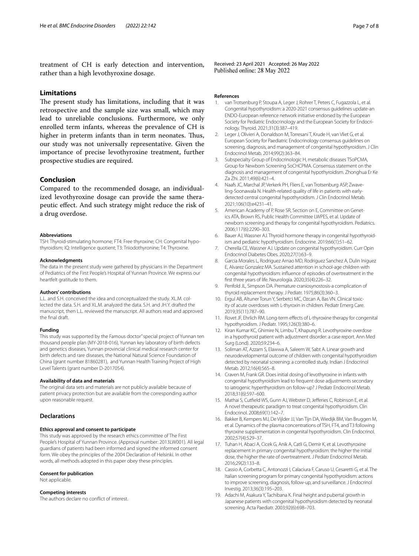treatment of CH is early detection and intervention, rather than a high levothyroxine dosage.

#### **Limitations**

The present study has limitations, including that it was retrospective and the sample size was small, which may lead to unreliable conclusions. Furthermore, we only enrolled term infants, whereas the prevalence of CH is higher in preterm infants than in term neonates. Thus, our study was not universally representative. Given the importance of precise levothyroxine treatment, further prospective studies are required.

#### **Conclusion**

Compared to the recommended dosage, an individualized levothyroxine dosage can provide the same therapeutic efect. And such strategy might reduce the risk of a drug overdose.

#### **Abbreviations**

TSH: Thyroid-stimulating hormone; FT4: Free thyroxine; CH: Congenital hypothyroidism; IQ: Intelligence quotient; T3: Triiodothyronine; T4: Thyroxine.

#### **Acknowledgments**

The data in the present study were gathered by physicians in the Department of Pediatrics of the First People's Hospital of Yunnan Province. We express our heartfelt gratitude to them.

#### **Authors' contributions**

L.L. and S.H. conceived the idea and conceptualized the study. XL.M. collected the data. S.H. and XL.M. analyzed the data. S.H. and JH.Y. drafted the manuscript, then L.L. reviewed the manuscript. All authors read and approved the fnal draft.

#### **Funding**

This study was supported by the Famous doctor" special project of Yunnan ten thousand people plan (MY-2018-016), Yunnan key laboratory of birth defects and genetics diseases, Yunnan provincial clinical medical research center for birth defects and rare diseases, the National Natural Science Foundation of China (grant number 81860281), and Yunnan Health Training Project of High Level Talents (grant number D-2017054).

#### **Availability of data and materials**

The original data sets and materials are not publicly available because of patient privacy protection but are available from the corresponding author upon reasonable request.

#### **Declarations**

#### **Ethics approval and consent to participate**

This study was approved by the research ethics committee of The First People's Hospital of Yunnan Province. (Approval number: 2013LW001). All legal guardians of patients had been informed and signed the informed consent form. We obey the principles of the 2004 Declaration of Helsinki. In other words, all methods adopted in this paper obey these principles.

#### **Consent for publication**

Not applicable.

#### **Competing interests**

The authors declare no confict of interest.

Received: 23 April 2021 Accepted: 26 May 2022 Published online: 28 May 2022

#### **References**

- <span id="page-6-0"></span>van Trotsenburg P, Stoupa A, Leger J, Rohrer T, Peters C, Fugazzola L, et al. Congenital hypothyroidism: a 2020-2021 consensus guidelines update-an ENDO-European reference network initiative endorsed by the European Society for Pediatric Endocrinology and the European Society for Endocrinology. Thyroid. 2021;31(3):387–419.
- <span id="page-6-1"></span>2. Leger J, Olivieri A, Donaldson M, Torresani T, Krude H, van Vliet G, et al. European Society for Paediatric Endocrinology consensus guidelines on screening, diagnosis, and management of congenital hypothyroidism. J Clin Endocrinol Metab. 2014;99(2):363–84.
- <span id="page-6-2"></span>Subspecialty Group of Endocrinologic H, metabolic diseases TSoPCMA, Group for Newborn Screening SoCHCPMA. Consensus statement on the diagnosis and management of congenital hypothyroidism. Zhonghua Er Ke Za Zhi. 2011;49(6):421–4.
- <span id="page-6-3"></span>Naafs JC, Marchal JP, Verkerk PH, Fliers E, van Trotsenburg ASP, Zwaveling-Soonawala N. Health-related quality of life in patients with earlydetected central congenital hypothyroidism. J Clin Endocrinol Metab. 2021;106(10):e4231–41.
- <span id="page-6-4"></span>5. American Academy of P, Rose SR, Section on E, Committee on Genetics ATA, Brown RS, Public Health Committee LWPES, et al. Update of newborn screening and therapy for congenital hypothyroidism. Pediatrics. 2006;117(6):2290–303.
- <span id="page-6-15"></span>6. Bauer AJ, Wassner AJ. Thyroid hormone therapy in congenital hypothyroidism and pediatric hypothyroidism. Endocrine. 2019;66(1):51–62.
- <span id="page-6-5"></span>7. Cherella CE, Wassner AJ. Update on congenital hypothyroidism. Curr Opin Endocrinol Diabetes Obes. 2020;27(1):63–9.
- <span id="page-6-6"></span>8. Garcia Morales L, Rodriguez Arnao MD, Rodriguez Sanchez A, Dulin Iniguez E, Alvarez Gonzalez MA. Sustained attention in school-age children with congenital hypothyroidism: infuence of episodes of overtreatment in the frst three years of life. Neurologia. 2020;35(4):226–32.
- 9. Penfold JL, Simpson DA. Premature craniosynostosis-a complication of thyroid replacement therapy. J Pediatr. 1975;86(3):360–3.
- <span id="page-6-7"></span>10. Ergul AB, Altuner Torun Y, Serbetci MC, Ozcan A, Bas VN. Clinical toxicity of acute overdoses with L-thyroxin in children. Pediatr Emerg Care. 2019;35(11):787–90.
- <span id="page-6-8"></span>11. Rovet JF, Ehrlich RM. Long-term effects of L-thyroxine therapy for congenital hypothyroidism. J Pediatr. 1995;126(3):380–6.
- <span id="page-6-9"></span>12. Kiran Kumar KC, Ghimire N, Limbu T, Khapung R. Levothyroxine overdose in a hypothyroid patient with adjustment disorder: a case report. Ann Med Surg (Lond). 2020;59:234–6.
- <span id="page-6-10"></span>13. Soliman AT, Azzam S, Elawwa A, Saleem W, Sabt A. Linear growth and neurodevelopmental outcome of children with congenital hypothyroidism detected by neonatal screening: a controlled study. Indian J Endocrinol Metab. 2012;16(4):565–8.
- <span id="page-6-11"></span>14. Craven M, Frank GR. Does initial dosing of levothyroxine in infants with congenital hypothyroidism lead to frequent dose adjustments secondary to iatrogenic hyperthyroidism on follow-up? J Pediatr Endocrinol Metab. 2018;31(6):597–600.
- <span id="page-6-12"></span>15. Mathai S, Cutfield WS, Gunn AJ, Webster D, Jefferies C, Robinson E, et al. A novel therapeutic paradigm to treat congenital hypothyroidism. Clin Endocrinol. 2008;69(1):142–7.
- <span id="page-6-13"></span>16. Bakker B, Kempers MJ, De Vijlder JJ, Van Tijn DA, Wiedijk BM, Van Bruggen M, et al. Dynamics of the plasma concentrations of TSH, FT4, and T3 following thyroxine supplementation in congenital hypothyroidism. Clin Endocrinol. 2002;57(4):529–37.
- <span id="page-6-14"></span>17. Tuhan H, Abaci A, Cicek G, Anik A, Catli G, Demir K, et al. Levothyroxine replacement in primary congenital hypothyroidism: the higher the initial dose, the higher the rate of overtreatment. J Pediatr Endocrinol Metab. 2016;29(2):133–8.
- <span id="page-6-16"></span>18. Cassio A, Corbetta C, Antonozzi I, Calaciura F, Caruso U, Cesaretti G, et al. The Italian screening program for primary congenital hypothyroidism: actions to improve screening, diagnosis, follow-up, and surveillance. J Endocrinol Investig. 2013;36(3):195–203.
- 19. Adachi M, Asakura Y, Tachibana K. Final height and pubertal growth in Japanese patients with congenital hypothyroidism detected by neonatal screening. Acta Paediatr. 2003;92(6):698–703.